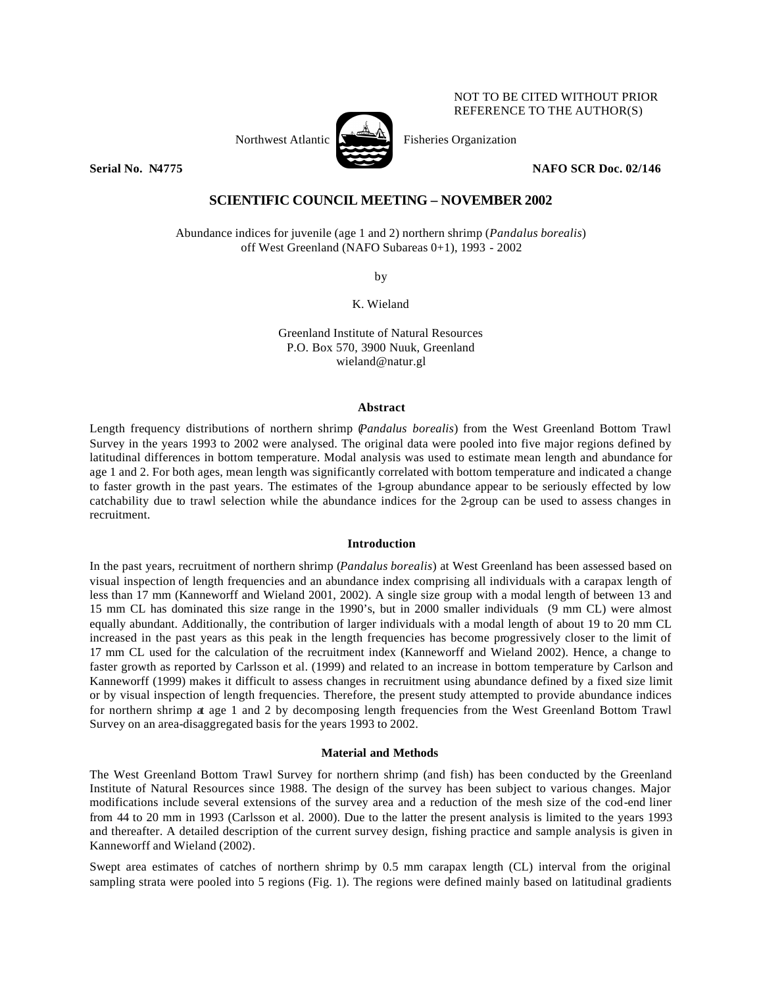Northwest Atlantic  $\sum_{n=1}^{\infty}$  Fisheries Organization

NOT TO BE CITED WITHOUT PRIOR REFERENCE TO THE AUTHOR(S)

**Serial No. 24775 NAFO SCR Doc. 02/146** 

# **SCIENTIFIC COUNCIL MEETING – NOVEMBER 2002**

Abundance indices for juvenile (age 1 and 2) northern shrimp (*Pandalus borealis*) off West Greenland (NAFO Subareas 0+1), 1993 - 2002

by

K. Wieland

Greenland Institute of Natural Resources P.O. Box 570, 3900 Nuuk, Greenland wieland@natur.gl

## **Abstract**

Length frequency distributions of northern shrimp (*Pandalus borealis*) from the West Greenland Bottom Trawl Survey in the years 1993 to 2002 were analysed. The original data were pooled into five major regions defined by latitudinal differences in bottom temperature. Modal analysis was used to estimate mean length and abundance for age 1 and 2. For both ages, mean length was significantly correlated with bottom temperature and indicated a change to faster growth in the past years. The estimates of the 1-group abundance appear to be seriously effected by low catchability due to trawl selection while the abundance indices for the 2-group can be used to assess changes in recruitment.

#### **Introduction**

In the past years, recruitment of northern shrimp (*Pandalus borealis*) at West Greenland has been assessed based on visual inspection of length frequencies and an abundance index comprising all individuals with a carapax length of less than 17 mm (Kanneworff and Wieland 2001, 2002). A single size group with a modal length of between 13 and 15 mm CL has dominated this size range in the 1990's, but in 2000 smaller individuals (9 mm CL) were almost equally abundant. Additionally, the contribution of larger individuals with a modal length of about 19 to 20 mm CL increased in the past years as this peak in the length frequencies has become progressively closer to the limit of 17 mm CL used for the calculation of the recruitment index (Kanneworff and Wieland 2002). Hence, a change to faster growth as reported by Carlsson et al. (1999) and related to an increase in bottom temperature by Carlson and Kanneworff (1999) makes it difficult to assess changes in recruitment using abundance defined by a fixed size limit or by visual inspection of length frequencies. Therefore, the present study attempted to provide abundance indices for northern shrimp at age 1 and 2 by decomposing length frequencies from the West Greenland Bottom Trawl Survey on an area-disaggregated basis for the years 1993 to 2002.

#### **Material and Methods**

The West Greenland Bottom Trawl Survey for northern shrimp (and fish) has been conducted by the Greenland Institute of Natural Resources since 1988. The design of the survey has been subject to various changes. Major modifications include several extensions of the survey area and a reduction of the mesh size of the cod-end liner from 44 to 20 mm in 1993 (Carlsson et al. 2000). Due to the latter the present analysis is limited to the years 1993 and thereafter. A detailed description of the current survey design, fishing practice and sample analysis is given in Kanneworff and Wieland (2002).

Swept area estimates of catches of northern shrimp by 0.5 mm carapax length (CL) interval from the original sampling strata were pooled into 5 regions (Fig. 1). The regions were defined mainly based on latitudinal gradients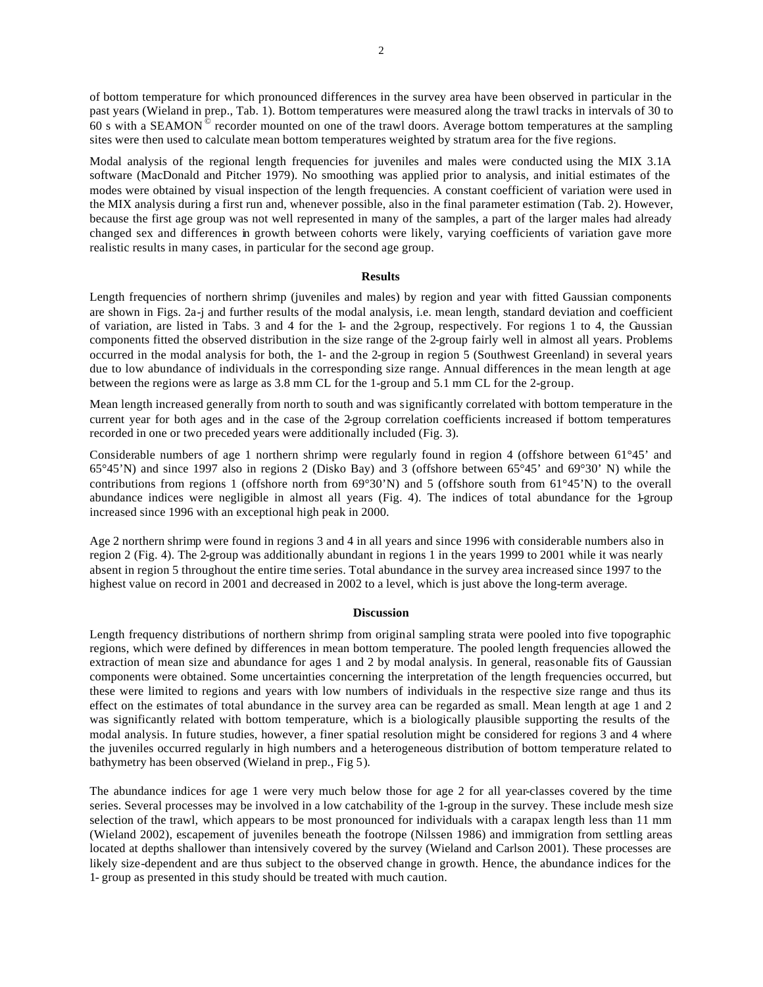of bottom temperature for which pronounced differences in the survey area have been observed in particular in the past years (Wieland in prep., Tab. 1). Bottom temperatures were measured along the trawl tracks in intervals of 30 to 60 s with a SEAMON © recorder mounted on one of the trawl doors. Average bottom temperatures at the sampling sites were then used to calculate mean bottom temperatures weighted by stratum area for the five regions.

Modal analysis of the regional length frequencies for juveniles and males were conducted using the MIX 3.1A software (MacDonald and Pitcher 1979). No smoothing was applied prior to analysis, and initial estimates of the modes were obtained by visual inspection of the length frequencies. A constant coefficient of variation were used in the MIX analysis during a first run and, whenever possible, also in the final parameter estimation (Tab. 2). However, because the first age group was not well represented in many of the samples, a part of the larger males had already changed sex and differences in growth between cohorts were likely, varying coefficients of variation gave more realistic results in many cases, in particular for the second age group.

#### **Results**

Length frequencies of northern shrimp (juveniles and males) by region and year with fitted Gaussian components are shown in Figs. 2a-j and further results of the modal analysis, i.e. mean length, standard deviation and coefficient of variation, are listed in Tabs. 3 and 4 for the 1- and the 2-group, respectively. For regions 1 to 4, the Gaussian components fitted the observed distribution in the size range of the 2-group fairly well in almost all years. Problems occurred in the modal analysis for both, the 1- and the 2-group in region 5 (Southwest Greenland) in several years due to low abundance of individuals in the corresponding size range. Annual differences in the mean length at age between the regions were as large as 3.8 mm CL for the 1-group and 5.1 mm CL for the 2-group.

Mean length increased generally from north to south and was significantly correlated with bottom temperature in the current year for both ages and in the case of the 2-group correlation coefficients increased if bottom temperatures recorded in one or two preceded years were additionally included (Fig. 3).

Considerable numbers of age 1 northern shrimp were regularly found in region 4 (offshore between 61°45' and 65°45'N) and since 1997 also in regions 2 (Disko Bay) and 3 (offshore between 65°45' and 69°30' N) while the contributions from regions 1 (offshore north from 69°30'N) and 5 (offshore south from 61°45'N) to the overall abundance indices were negligible in almost all years (Fig. 4). The indices of total abundance for the 1-group increased since 1996 with an exceptional high peak in 2000.

Age 2 northern shrimp were found in regions 3 and 4 in all years and since 1996 with considerable numbers also in region 2 (Fig. 4). The 2-group was additionally abundant in regions 1 in the years 1999 to 2001 while it was nearly absent in region 5 throughout the entire time series. Total abundance in the survey area increased since 1997 to the highest value on record in 2001 and decreased in 2002 to a level, which is just above the long-term average.

#### **Discussion**

Length frequency distributions of northern shrimp from original sampling strata were pooled into five topographic regions, which were defined by differences in mean bottom temperature. The pooled length frequencies allowed the extraction of mean size and abundance for ages 1 and 2 by modal analysis. In general, reasonable fits of Gaussian components were obtained. Some uncertainties concerning the interpretation of the length frequencies occurred, but these were limited to regions and years with low numbers of individuals in the respective size range and thus its effect on the estimates of total abundance in the survey area can be regarded as small. Mean length at age 1 and 2 was significantly related with bottom temperature, which is a biologically plausible supporting the results of the modal analysis. In future studies, however, a finer spatial resolution might be considered for regions 3 and 4 where the juveniles occurred regularly in high numbers and a heterogeneous distribution of bottom temperature related to bathymetry has been observed (Wieland in prep., Fig 5).

The abundance indices for age 1 were very much below those for age 2 for all year-classes covered by the time series. Several processes may be involved in a low catchability of the 1-group in the survey. These include mesh size selection of the trawl, which appears to be most pronounced for individuals with a carapax length less than 11 mm (Wieland 2002), escapement of juveniles beneath the footrope (Nilssen 1986) and immigration from settling areas located at depths shallower than intensively covered by the survey (Wieland and Carlson 2001). These processes are likely size-dependent and are thus subject to the observed change in growth. Hence, the abundance indices for the 1- group as presented in this study should be treated with much caution.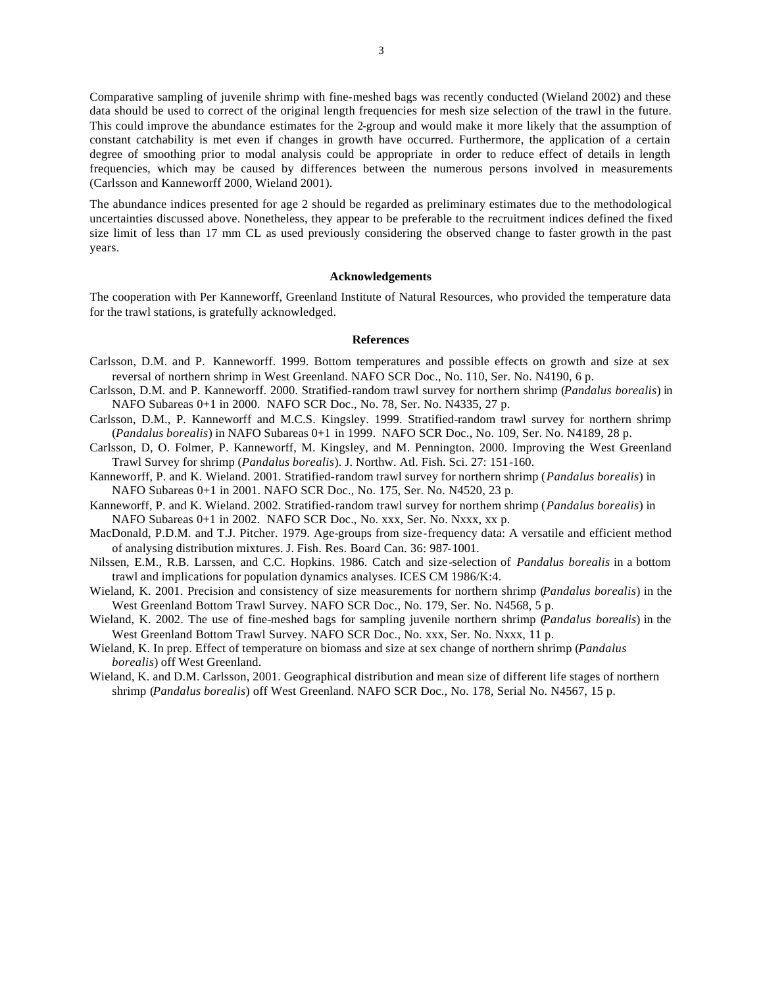Comparative sampling of juvenile shrimp with fine-meshed bags was recently conducted (Wieland 2002) and these data should be used to correct of the original length frequencies for mesh size selection of the trawl in the future. This could improve the abundance estimates for the 2-group and would make it more likely that the assumption of constant catchability is met even if changes in growth have occurred. Furthermore, the application of a certain degree of smoothing prior to modal analysis could be appropriate in order to reduce effect of details in length frequencies, which may be caused by differences between the numerous persons involved in measurements (Carlsson and Kanneworff 2000, Wieland 2001).

The abundance indices presented for age 2 should be regarded as preliminary estimates due to the methodological uncertainties discussed above. Nonetheless, they appear to be preferable to the recruitment indices defined the fixed size limit of less than 17 mm CL as used previously considering the observed change to faster growth in the past years.

### **Acknowledgements**

The cooperation with Per Kanneworff, Greenland Institute of Natural Resources, who provided the temperature data for the trawl stations, is gratefully acknowledged.

#### **References**

- Carlsson, D.M. and P. Kanneworff. 1999. Bottom temperatures and possible effects on growth and size at sex reversal of northern shrimp in West Greenland. NAFO SCR Doc., No. 110, Ser. No. N4190, 6 p.
- Carlsson, D.M. and P. Kanneworff. 2000. Stratified-random trawl survey for northern shrimp (*Pandalus borealis*) in NAFO Subareas 0+1 in 2000. NAFO SCR Doc., No. 78, Ser. No. N4335, 27 p.
- Carlsson, D.M., P. Kanneworff and M.C.S. Kingsley. 1999. Stratified-random trawl survey for northern shrimp (*Pandalus borealis*) in NAFO Subareas 0+1 in 1999. NAFO SCR Doc., No. 109, Ser. No. N4189, 28 p.
- Carlsson, D, O. Folmer, P. Kanneworff, M. Kingsley, and M. Pennington. 2000. Improving the West Greenland Trawl Survey for shrimp (*Pandalus borealis*). J. Northw. Atl. Fish. Sci. 27: 151-160.
- Kanneworff, P. and K. Wieland. 2001. Stratified-random trawl survey for northern shrimp (*Pandalus borealis*) in NAFO Subareas 0+1 in 2001. NAFO SCR Doc., No. 175, Ser. No. N4520, 23 p.
- Kanneworff, P. and K. Wieland. 2002. Stratified-random trawl survey for northern shrimp (*Pandalus borealis*) in NAFO Subareas 0+1 in 2002. NAFO SCR Doc., No. xxx, Ser. No. Nxxx, xx p.
- MacDonald, P.D.M. and T.J. Pitcher. 1979. Age-groups from size-frequency data: A versatile and efficient method of analysing distribution mixtures. J. Fish. Res. Board Can. 36: 987-1001.
- Nilssen, E.M., R.B. Larssen, and C.C. Hopkins. 1986. Catch and size-selection of *Pandalus borealis* in a bottom trawl and implications for population dynamics analyses. ICES CM 1986/K:4.
- Wieland, K. 2001. Precision and consistency of size measurements for northern shrimp (*Pandalus borealis*) in the West Greenland Bottom Trawl Survey. NAFO SCR Doc., No. 179, Ser. No. N4568, 5 p.
- Wieland, K. 2002. The use of fine-meshed bags for sampling juvenile northern shrimp (*Pandalus borealis*) in the West Greenland Bottom Trawl Survey. NAFO SCR Doc., No. xxx, Ser. No. Nxxx, 11 p.
- Wieland, K. In prep. Effect of temperature on biomass and size at sex change of northern shrimp (*Pandalus borealis*) off West Greenland.
- Wieland, K. and D.M. Carlsson, 2001. Geographical distribution and mean size of different life stages of northern shrimp (*Pandalus borealis*) off West Greenland. NAFO SCR Doc., No. 178, Serial No. N4567, 15 p.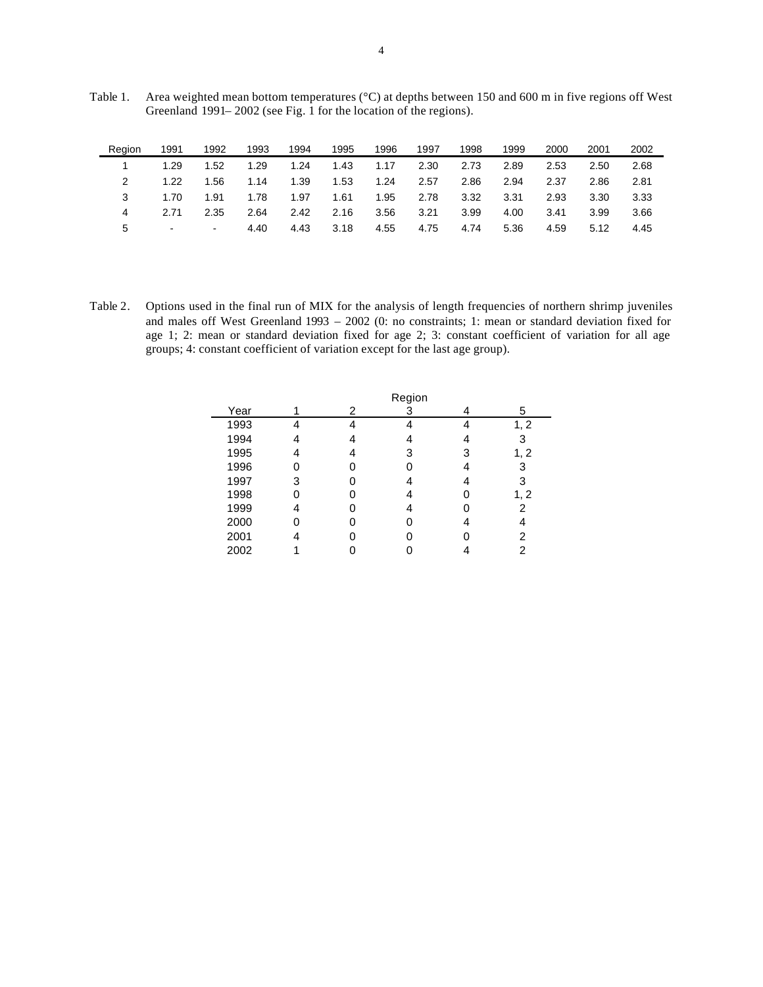| Table 1. | Area weighted mean bottom temperatures ( $\degree$ C) at depths between 150 and 600 m in five regions off West |
|----------|----------------------------------------------------------------------------------------------------------------|
|          | Greenland 1991–2002 (see Fig. 1 for the location of the regions).                                              |

| Region | 1991           | 1992   | 1993 | 1994 | 1995 | 1996 | 1997 | 1998 | 1999 | 2000 | 2001 | 2002 |
|--------|----------------|--------|------|------|------|------|------|------|------|------|------|------|
|        | 1.29           | 1.52   | 1.29 | 1.24 | 1.43 | 1.17 | 2.30 | 2.73 | 2.89 | 2.53 | 2.50 | 2.68 |
|        | 1.22           | 1.56   | 1.14 | 1.39 | 1.53 | 1.24 | 2.57 | 2.86 | 2.94 | 2.37 | 2.86 | 2.81 |
|        | 1.70           | 1.91   | 1.78 | 1.97 | 1.61 | 1.95 | 2.78 | 3.32 | 3.31 | 2.93 | 3.30 | 3.33 |
| 4      | 2.71           | 2.35   | 2.64 | 2.42 | 2.16 | 3.56 | 3.21 | 3.99 | 4.00 | 3.41 | 3.99 | 3.66 |
| 5      | $\blacksquare$ | $\sim$ | 4.40 | 4.43 | 3.18 | 4.55 | 4.75 | 4.74 | 5.36 | 4.59 | 5.12 | 4.45 |

Table 2. Options used in the final run of MIX for the analysis of length frequencies of northern shrimp juveniles and males off West Greenland 1993 – 2002 (0: no constraints; 1: mean or standard deviation fixed for age 1; 2: mean or standard deviation fixed for age 2; 3: constant coefficient of variation for all age groups; 4: constant coefficient of variation except for the last age group).

|      |   |   | Region |   |      |
|------|---|---|--------|---|------|
| Year |   | 2 | 3      |   | 5    |
| 1993 |   |   |        |   | 1, 2 |
| 1994 |   |   |        |   | 3    |
| 1995 | Δ |   | 3      | 3 | 1, 2 |
| 1996 |   |   |        |   | 3    |
| 1997 | 3 |   |        |   | 3    |
| 1998 |   |   |        |   | 1, 2 |
| 1999 | 4 |   |        |   | 2    |
| 2000 |   |   |        |   |      |
| 2001 |   |   |        |   | 2    |
| 2002 |   |   |        |   | 2    |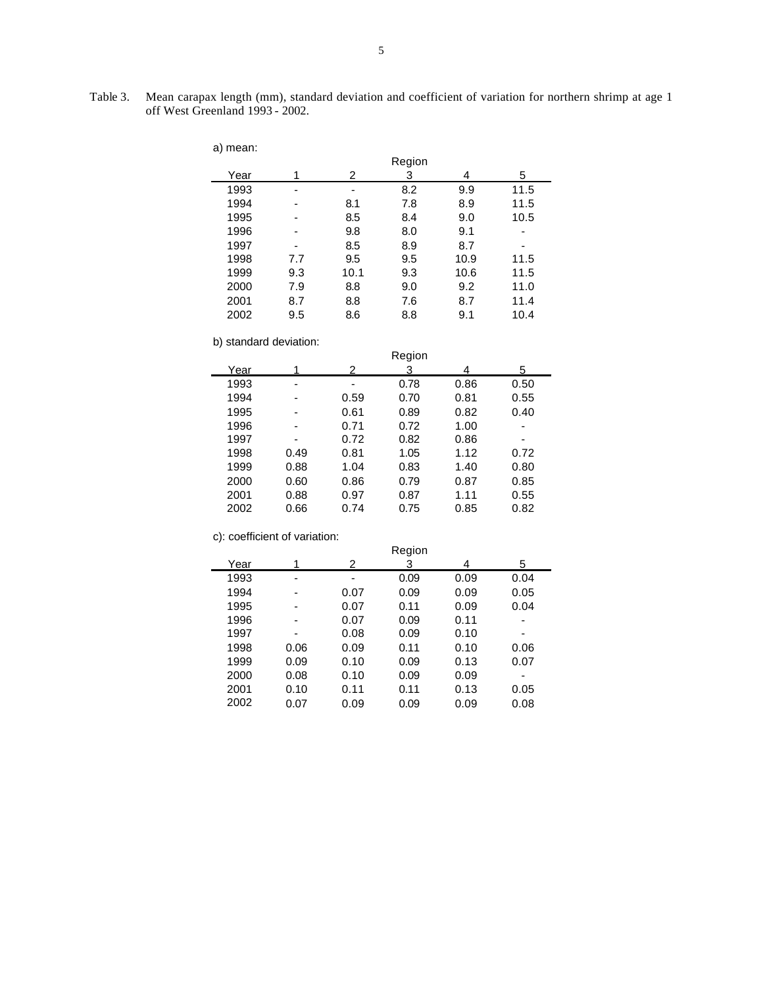Table 3. Mean carapax length (mm), standard deviation and coefficient of variation for northern shrimp at age 1 off West Greenland 1993 - 2002.

| a) mean: |     |      |        |      |      |  |
|----------|-----|------|--------|------|------|--|
|          |     |      | Region |      |      |  |
| Year     |     | 2    | 3      | 4    | 5    |  |
| 1993     |     |      | 8.2    | 9.9  | 11.5 |  |
| 1994     |     | 8.1  | 7.8    | 8.9  | 11.5 |  |
| 1995     |     | 8.5  | 8.4    | 9.0  | 10.5 |  |
| 1996     |     | 9.8  | 8.0    | 9.1  | ۰    |  |
| 1997     |     | 8.5  | 8.9    | 8.7  |      |  |
| 1998     | 7.7 | 9.5  | 9.5    | 10.9 | 11.5 |  |
| 1999     | 9.3 | 10.1 | 9.3    | 10.6 | 11.5 |  |
| 2000     | 7.9 | 8.8  | 9.0    | 9.2  | 11.0 |  |
| 2001     | 8.7 | 8.8  | 7.6    | 8.7  | 11.4 |  |
| 2002     | 9.5 | 8.6  | 8.8    | 9.1  | 10.4 |  |

b) standard deviation:

|      |      |      | Region |      |                |
|------|------|------|--------|------|----------------|
| Year | 1    | 2    | 3      | 4    | 5              |
| 1993 | -    |      | 0.78   | 0.86 | 0.50           |
| 1994 |      | 0.59 | 0.70   | 0.81 | 0.55           |
| 1995 |      | 0.61 | 0.89   | 0.82 | 0.40           |
| 1996 | -    | 0.71 | 0.72   | 1.00 | $\overline{a}$ |
| 1997 | -    | 0.72 | 0.82   | 0.86 | $\overline{a}$ |
| 1998 | 0.49 | 0.81 | 1.05   | 1.12 | 0.72           |
| 1999 | 0.88 | 1.04 | 0.83   | 1.40 | 0.80           |
| 2000 | 0.60 | 0.86 | 0.79   | 0.87 | 0.85           |
| 2001 | 0.88 | 0.97 | 0.87   | 1.11 | 0.55           |
| 2002 | 0.66 | 0.74 | 0.75   | 0.85 | 0.82           |

c): coefficient of variation:

|      | Region |      |      |      |      |  |  |  |
|------|--------|------|------|------|------|--|--|--|
| Year | 1      | 2    | 3    | 4    | 5    |  |  |  |
| 1993 |        |      | 0.09 | 0.09 | 0.04 |  |  |  |
| 1994 |        | 0.07 | 0.09 | 0.09 | 0.05 |  |  |  |
| 1995 |        | 0.07 | 0.11 | 0.09 | 0.04 |  |  |  |
| 1996 |        | 0.07 | 0.09 | 0.11 |      |  |  |  |
| 1997 | -      | 0.08 | 0.09 | 0.10 | -    |  |  |  |
| 1998 | 0.06   | 0.09 | 0.11 | 0.10 | 0.06 |  |  |  |
| 1999 | 0.09   | 0.10 | 0.09 | 0.13 | 0.07 |  |  |  |
| 2000 | 0.08   | 0.10 | 0.09 | 0.09 |      |  |  |  |
| 2001 | 0.10   | 0.11 | 0.11 | 0.13 | 0.05 |  |  |  |
| 2002 | 0.07   | 0.09 | 0.09 | 0.09 | 0.08 |  |  |  |
|      |        |      |      |      |      |  |  |  |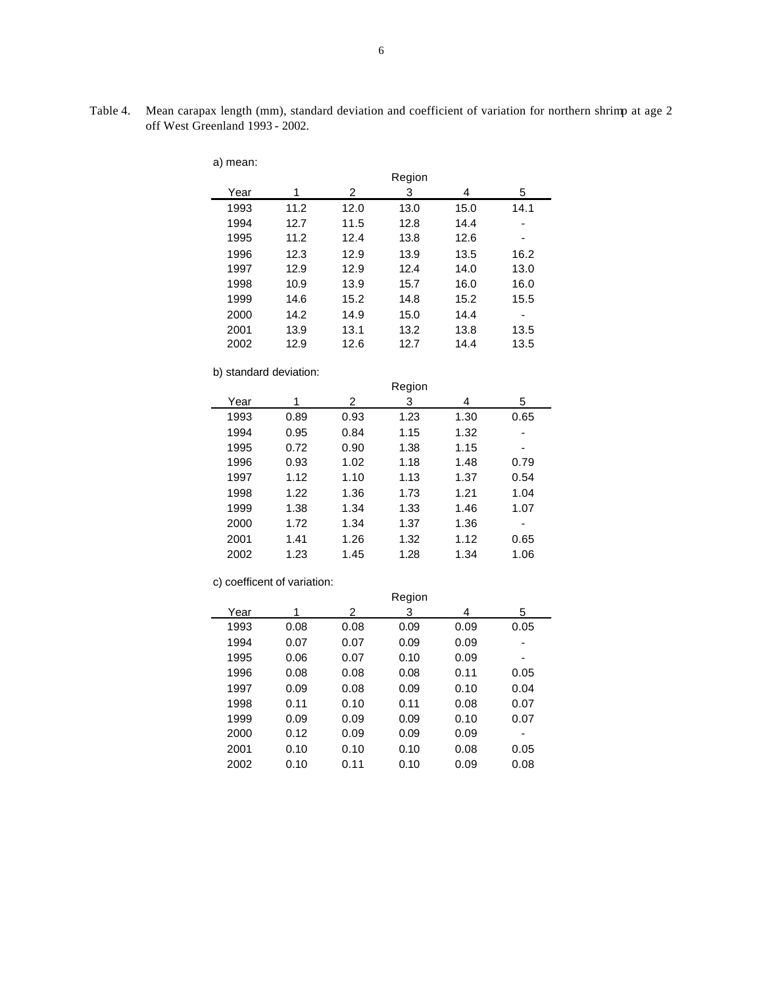Table 4. Mean carapax length (mm), standard deviation and coefficient of variation for northern shrimp at age 2 off West Greenland 1993 - 2002.

| a) mean: |      |      |        |      |      |
|----------|------|------|--------|------|------|
|          |      |      | Region |      |      |
| Year     | 1    | 2    | 3      | 4    | 5    |
| 1993     | 11.2 | 12.0 | 13.0   | 15.0 | 14.1 |
| 1994     | 12.7 | 11.5 | 12.8   | 14.4 |      |
| 1995     | 11.2 | 12.4 | 13.8   | 12.6 | ٠    |
| 1996     | 12.3 | 12.9 | 13.9   | 13.5 | 16.2 |
| 1997     | 12.9 | 12.9 | 12.4   | 14.0 | 13.0 |
| 1998     | 10.9 | 13.9 | 15.7   | 16.0 | 16.0 |
| 1999     | 14.6 | 15.2 | 14.8   | 15.2 | 15.5 |
| 2000     | 14.2 | 14.9 | 15.0   | 14.4 | -    |
| 2001     | 13.9 | 13.1 | 13.2   | 13.8 | 13.5 |
| 2002     | 12.9 | 12.6 | 12.7   | 14.4 | 13.5 |
|          |      |      |        |      |      |

b) standard deviation:

|      |      |      | Region |      |      |  |
|------|------|------|--------|------|------|--|
| Year | 1    | 2    | 3      | 4    | 5    |  |
| 1993 | 0.89 | 0.93 | 1.23   | 1.30 | 0.65 |  |
| 1994 | 0.95 | 0.84 | 1.15   | 1.32 |      |  |
| 1995 | 0.72 | 0.90 | 1.38   | 1.15 |      |  |
| 1996 | 0.93 | 1.02 | 1.18   | 1.48 | 0.79 |  |
| 1997 | 1.12 | 1.10 | 1.13   | 1.37 | 0.54 |  |
| 1998 | 1.22 | 1.36 | 1.73   | 1.21 | 1.04 |  |
| 1999 | 1.38 | 1.34 | 1.33   | 1.46 | 1.07 |  |
| 2000 | 1.72 | 1.34 | 1.37   | 1.36 | ۰    |  |
| 2001 | 1.41 | 1.26 | 1.32   | 1.12 | 0.65 |  |
| 2002 | 1.23 | 1.45 | 1.28   | 1.34 | 1.06 |  |
|      |      |      |        |      |      |  |

c) coefficent of variation:

|      | Region |      |      |      |      |  |  |  |
|------|--------|------|------|------|------|--|--|--|
| Year | 1      | 2    | 3    | 4    | 5    |  |  |  |
| 1993 | 0.08   | 0.08 | 0.09 | 0.09 | 0.05 |  |  |  |
| 1994 | 0.07   | 0.07 | 0.09 | 0.09 | ۰    |  |  |  |
| 1995 | 0.06   | 0.07 | 0.10 | 0.09 | ۰    |  |  |  |
| 1996 | 0.08   | 0.08 | 0.08 | 0.11 | 0.05 |  |  |  |
| 1997 | 0.09   | 0.08 | 0.09 | 0.10 | 0.04 |  |  |  |
| 1998 | 0.11   | 0.10 | 0.11 | 0.08 | 0.07 |  |  |  |
| 1999 | 0.09   | 0.09 | 0.09 | 0.10 | 0.07 |  |  |  |
| 2000 | 0.12   | 0.09 | 0.09 | 0.09 | ۰    |  |  |  |
| 2001 | 0.10   | 0.10 | 0.10 | 0.08 | 0.05 |  |  |  |
| 2002 | 0.10   | 0.11 | 0.10 | 0.09 | 0.08 |  |  |  |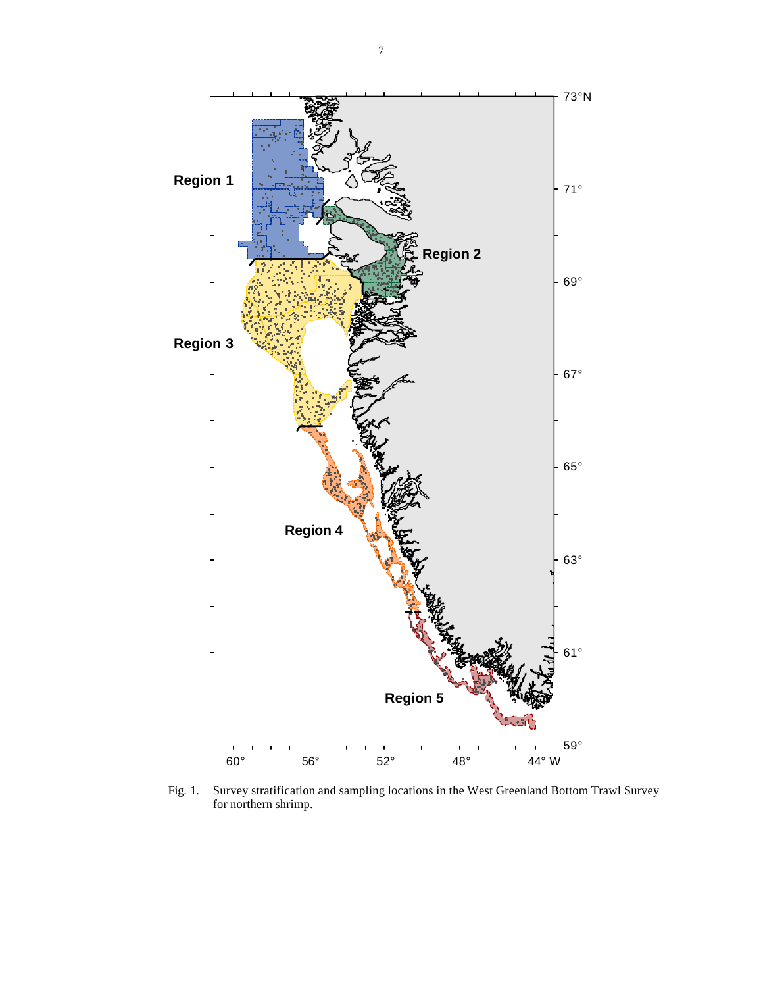

Fig. 1. Survey stratification and sampling locations in the West Greenland Bottom Trawl Survey for northern shrimp.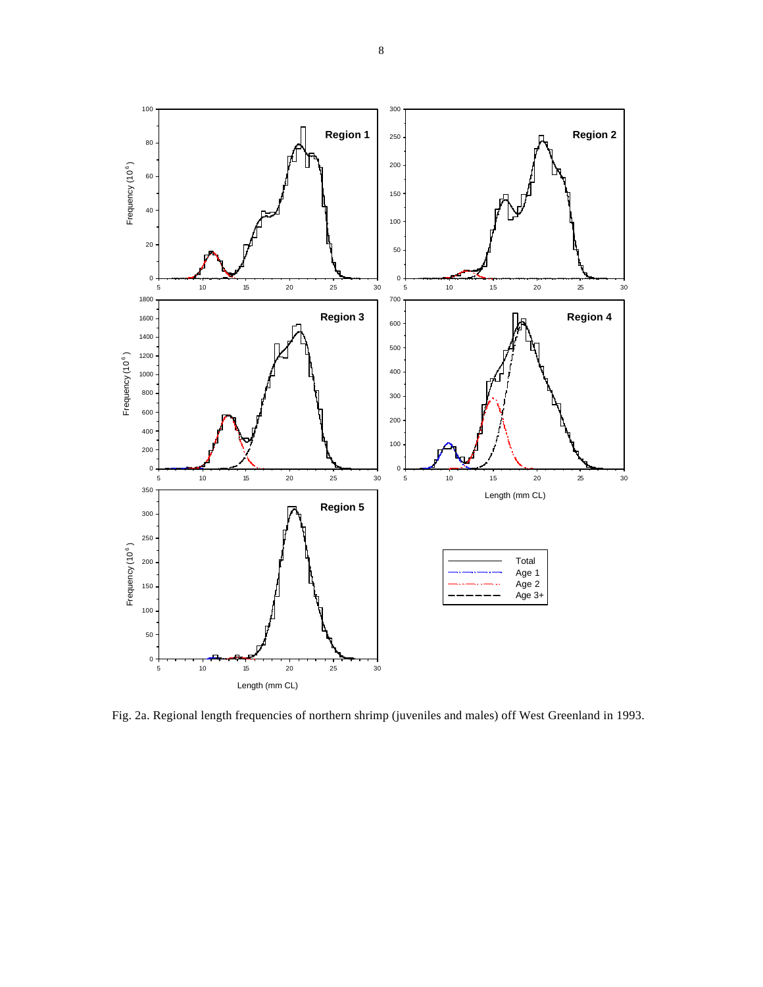

Fig. 2a. Regional length frequencies of northern shrimp (juveniles and males) off West Greenland in 1993.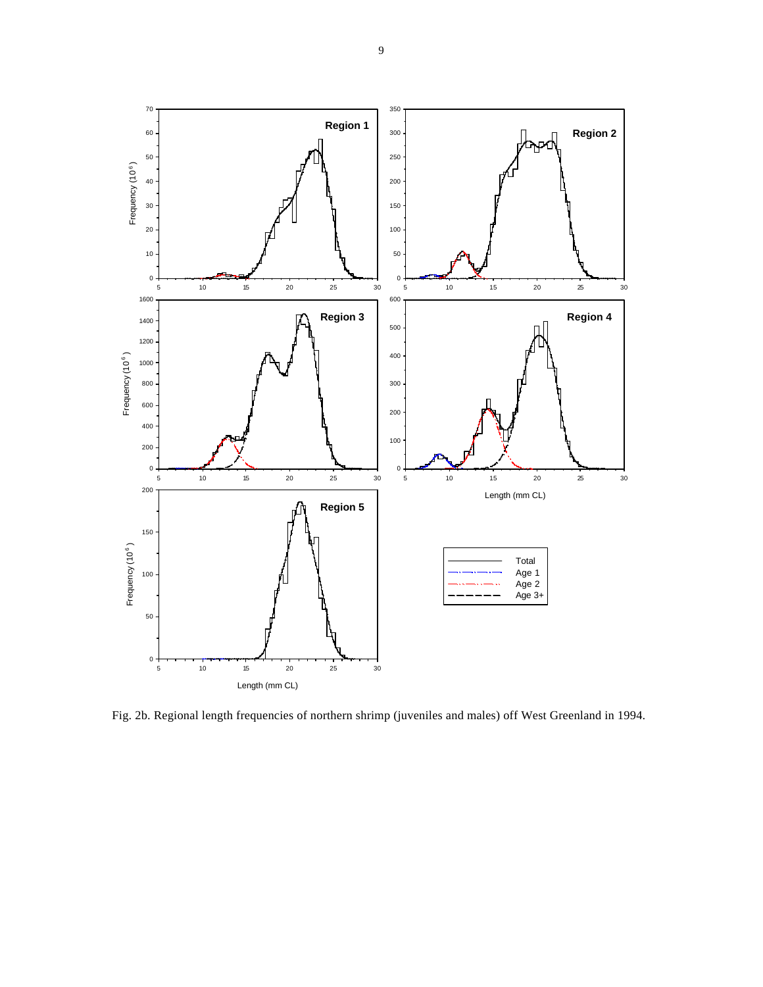

Fig. 2b. Regional length frequencies of northern shrimp (juveniles and males) off West Greenland in 1994.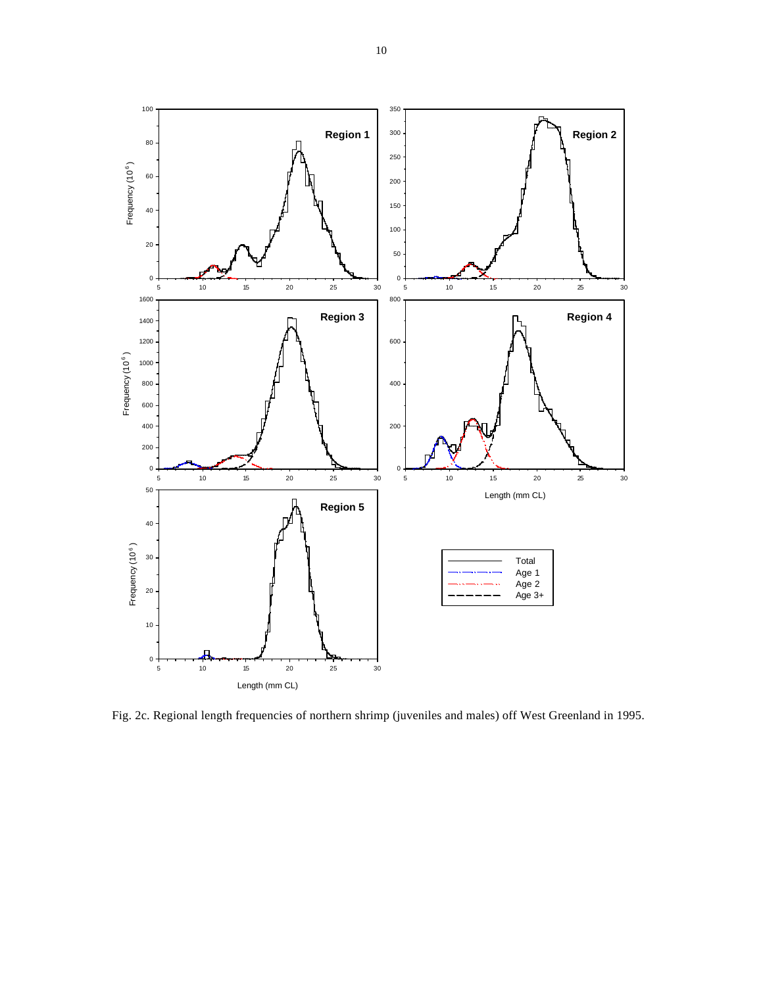

Fig. 2c. Regional length frequencies of northern shrimp (juveniles and males) off West Greenland in 1995.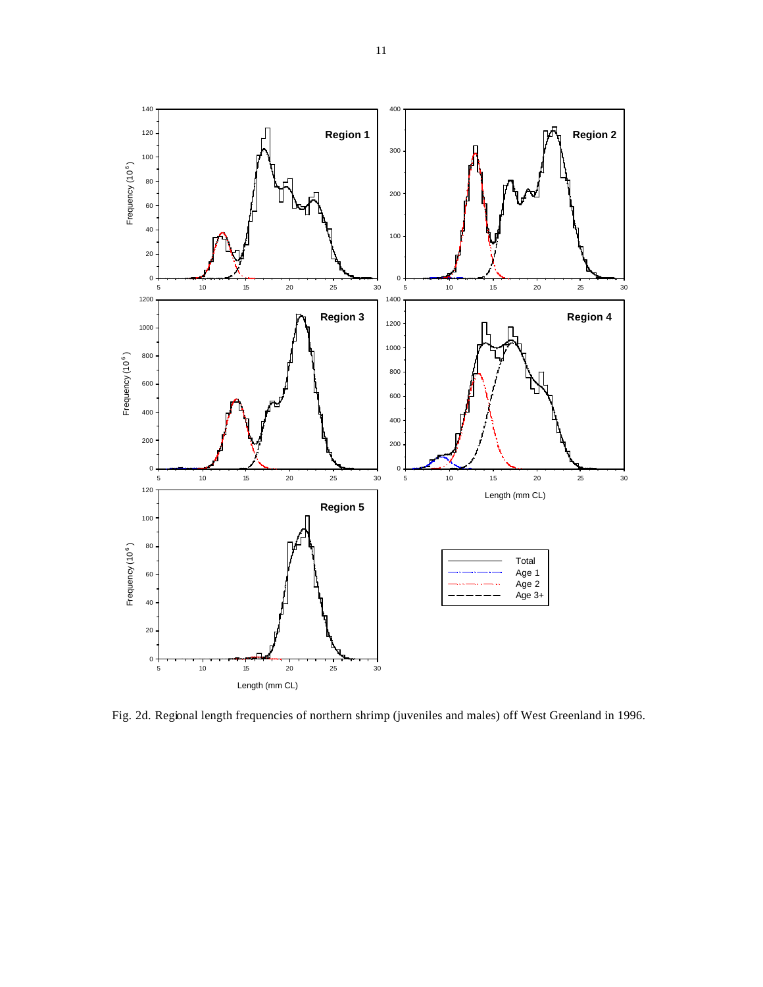

Fig. 2d. Regional length frequencies of northern shrimp (juveniles and males) off West Greenland in 1996.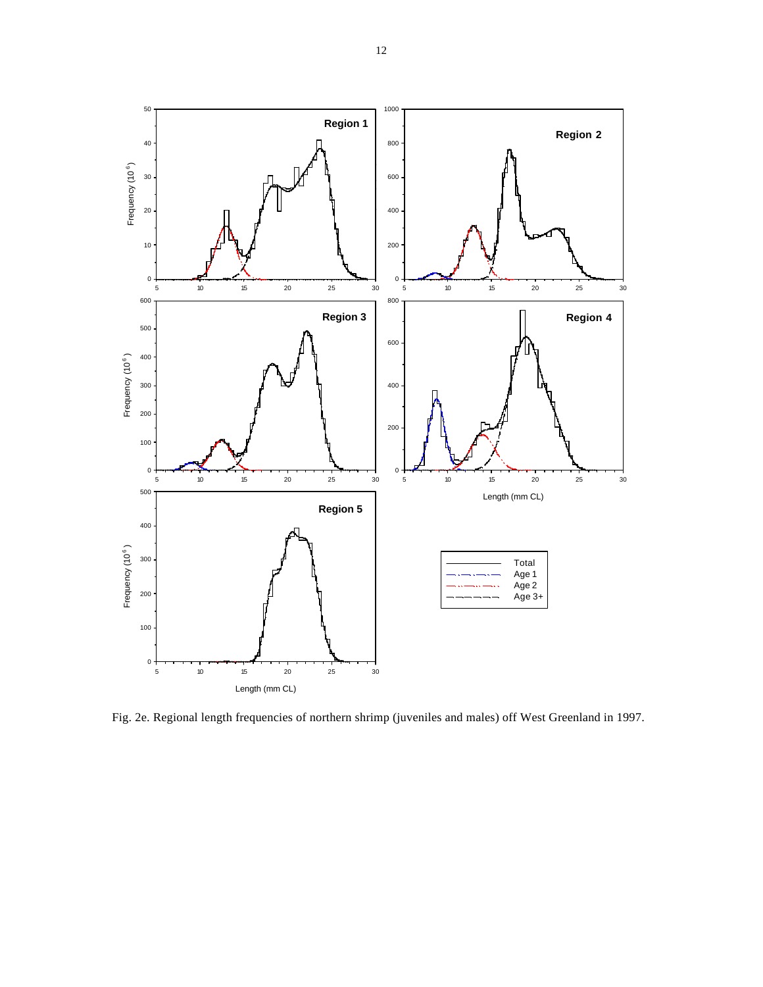

Fig. 2e. Regional length frequencies of northern shrimp (juveniles and males) off West Greenland in 1997.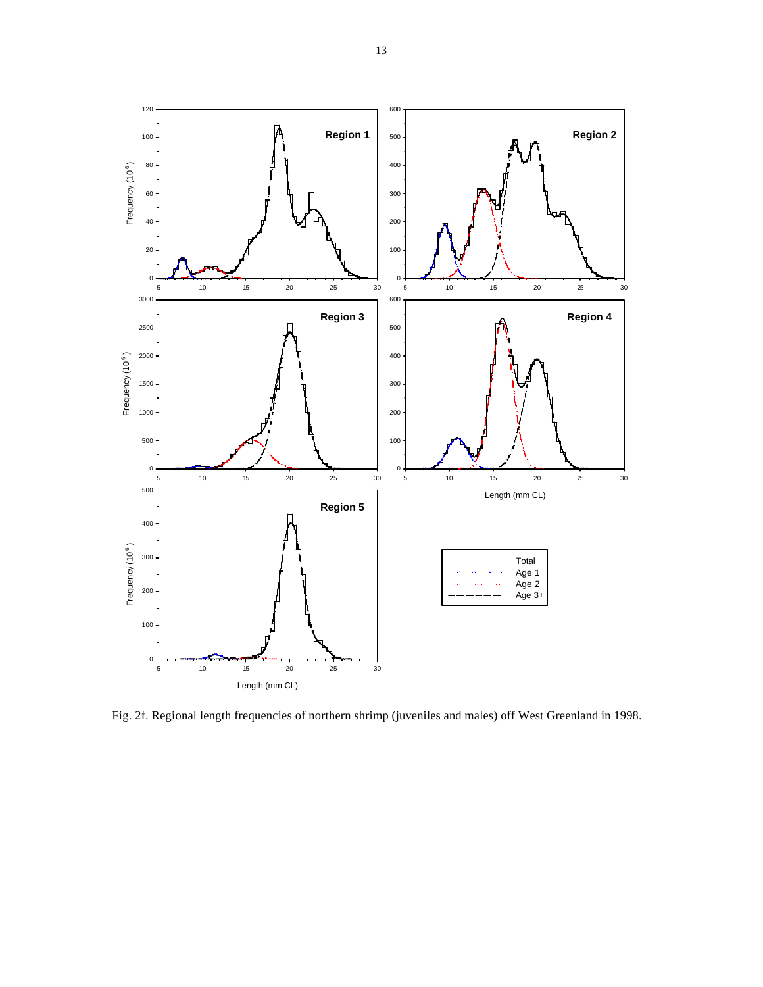

Fig. 2f. Regional length frequencies of northern shrimp (juveniles and males) off West Greenland in 1998.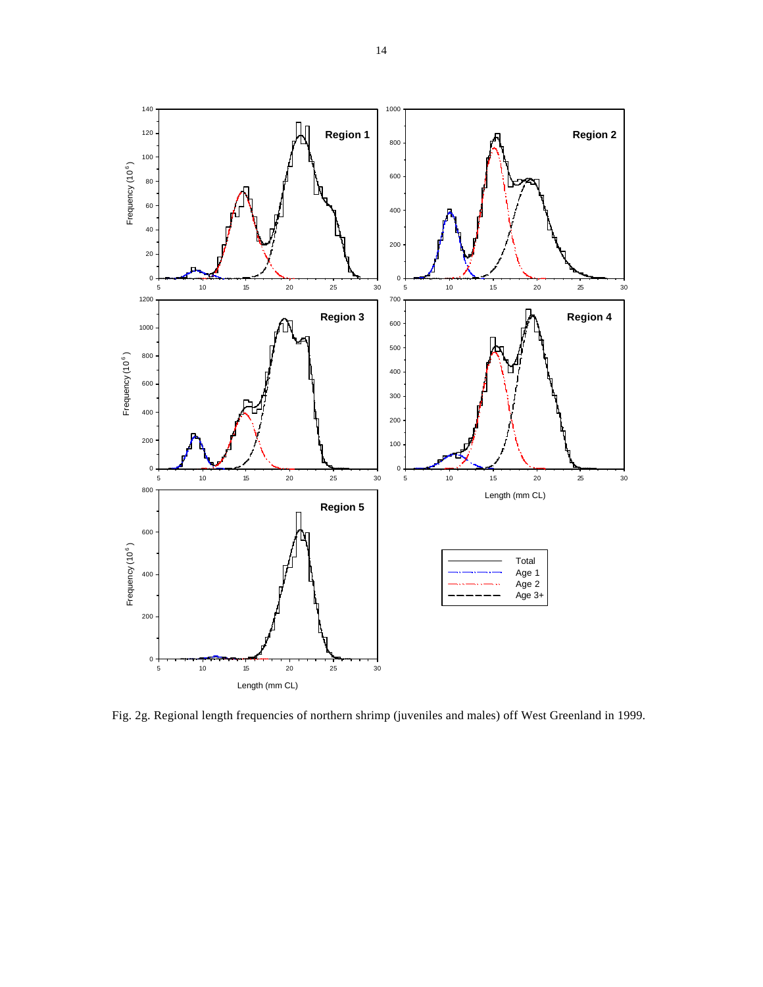

Fig. 2g. Regional length frequencies of northern shrimp (juveniles and males) off West Greenland in 1999.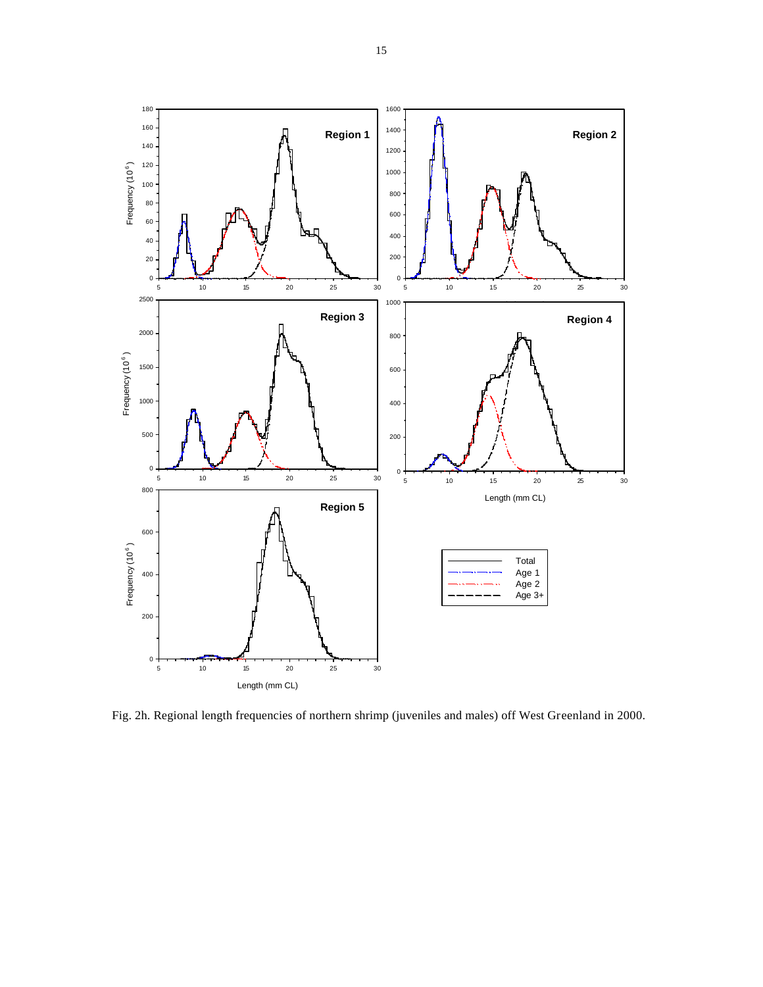

Fig. 2h. Regional length frequencies of northern shrimp (juveniles and males) off West Greenland in 2000.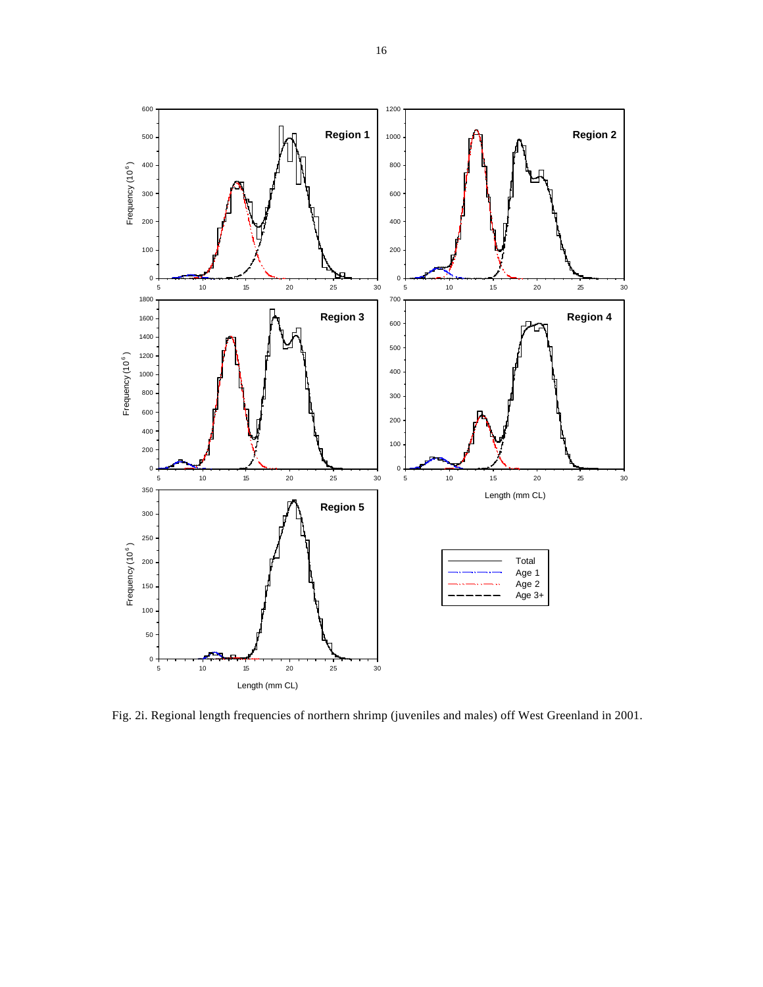

Fig. 2i. Regional length frequencies of northern shrimp (juveniles and males) off West Greenland in 2001.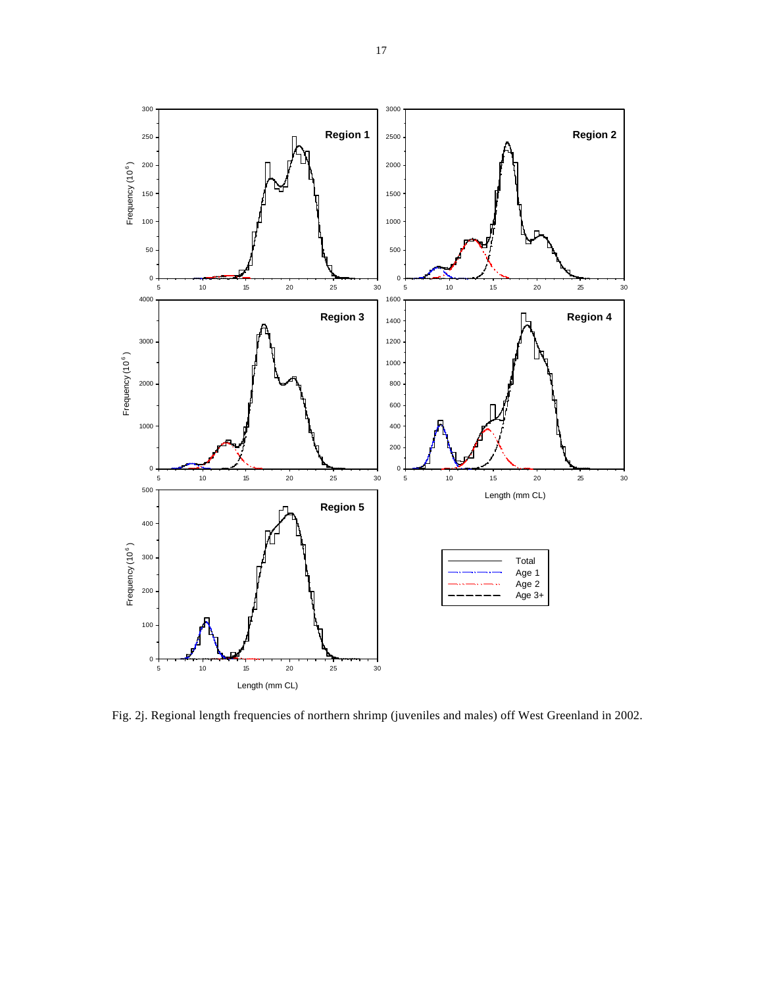

Fig. 2j. Regional length frequencies of northern shrimp (juveniles and males) off West Greenland in 2002.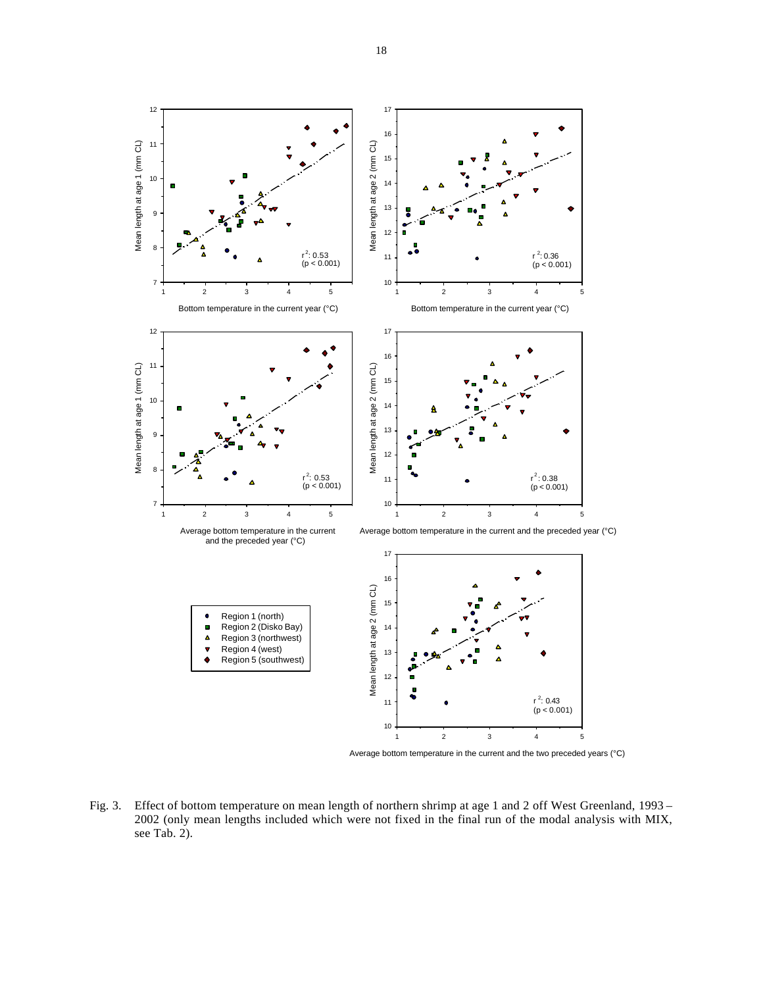

Average bottom temperature in the current and the two preceded years (°C)

Fig. 3. Effect of bottom temperature on mean length of northern shrimp at age 1 and 2 off West Greenland, 1993 – 2002 (only mean lengths included which were not fixed in the final run of the modal analysis with MIX, see Tab. 2).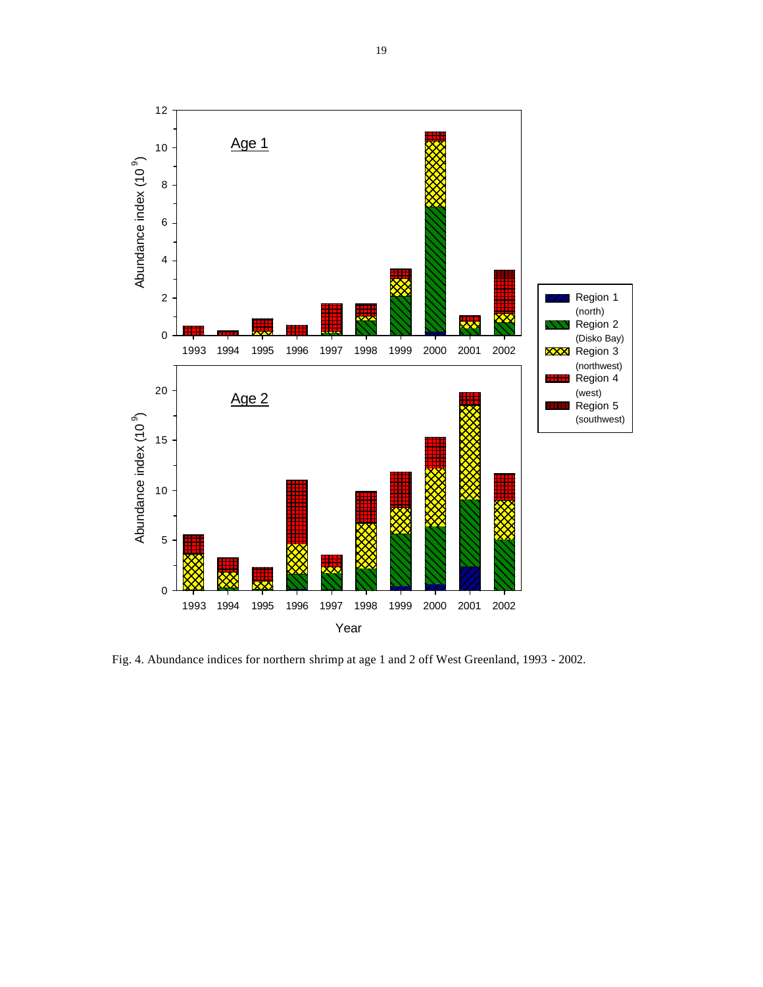

Fig. 4. Abundance indices for northern shrimp at age 1 and 2 off West Greenland, 1993 - 2002.